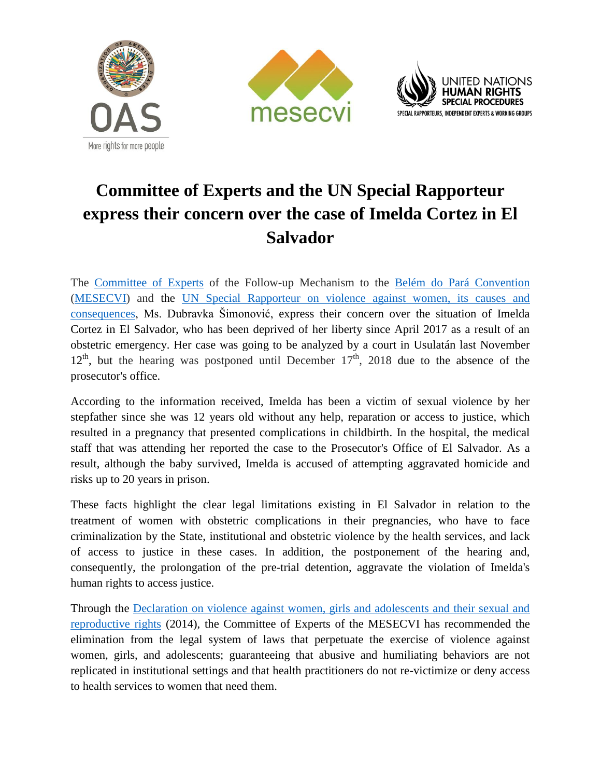





## **Committee of Experts and the UN Special Rapporteur express their concern over the case of Imelda Cortez in El Salvador**

The [Committee of Experts](http://www.oas.org/en/mesecvi/Experts.asp) of the Follow-up Mechanism to the [Belém do Pará Convention](http://www.oas.org/en/mesecvi/docs/BelemDoPara-ENGLISH.pdf) [\(MESECVI\)](http://www.oas.org/en/mesecvi/about.asp) and the [UN Special Rapporteur on violence against women, its causes and](https://www.ohchr.org/EN/Issues/Women/SRWomen/Pages/SRWomenIndex.aspx)  [consequences,](https://www.ohchr.org/EN/Issues/Women/SRWomen/Pages/SRWomenIndex.aspx) Ms. Dubravka Šimonović, express their concern over the situation of Imelda Cortez in El Salvador, who has been deprived of her liberty since April 2017 as a result of an obstetric emergency. Her case was going to be analyzed by a court in Usulatán last November  $12<sup>th</sup>$ , but the hearing was postponed until December  $17<sup>th</sup>$ , 2018 due to the absence of the prosecutor's office.

According to the information received, Imelda has been a victim of sexual violence by her stepfather since she was 12 years old without any help, reparation or access to justice, which resulted in a pregnancy that presented complications in childbirth. In the hospital, the medical staff that was attending her reported the case to the Prosecutor's Office of El Salvador. As a result, although the baby survived, Imelda is accused of attempting aggravated homicide and risks up to 20 years in prison.

These facts highlight the clear legal limitations existing in El Salvador in relation to the treatment of women with obstetric complications in their pregnancies, who have to face criminalization by the State, institutional and obstetric violence by the health services, and lack of access to justice in these cases. In addition, the postponement of the hearing and, consequently, the prolongation of the pre-trial detention, aggravate the violation of Imelda's human rights to access justice.

Through the [Declaration on violence against women, girls and adolescents and their sexual and](http://www.oas.org/en/mesecvi/docs/DeclaracionDerechos-EN.pdf)  [reproductive rights](http://www.oas.org/en/mesecvi/docs/DeclaracionDerechos-EN.pdf) (2014), the Committee of Experts of the MESECVI has recommended the elimination from the legal system of laws that perpetuate the exercise of violence against women, girls, and adolescents; guaranteeing that abusive and humiliating behaviors are not replicated in institutional settings and that health practitioners do not re-victimize or deny access to health services to women that need them.